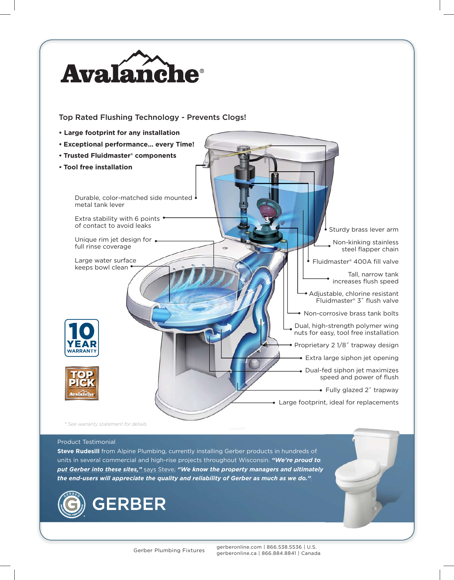

Product Testimonial

**Steve Rudesill** from Alpine Plumbing, currently installing Gerber products in hundreds of units in several commercial and high-rise projects throughout Wisconsin. *"We're proud to put Gerber into these sites,"* says Steve. *"We know the property managers and ultimately ultimately the end-users will appreciate the quality and reliability of Gerber as much as we do."*